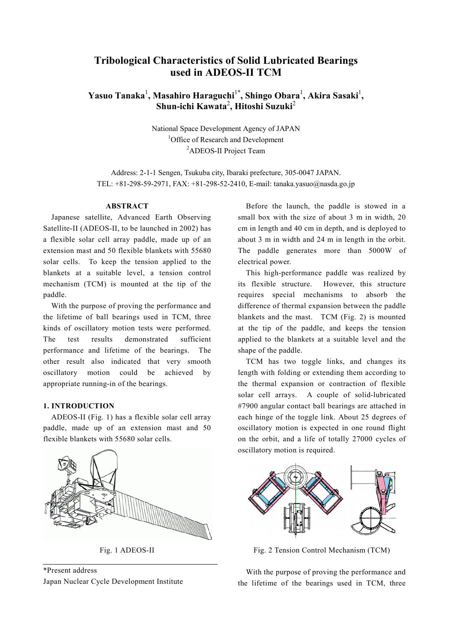# **Tribological Characteristics of Solid Lubricated Bearings used in ADEOS-II TCM**

# **Yasuo Tanaka**<sup>1</sup> **, Masahiro Haraguchi**1\***, Shingo Obara**<sup>1</sup> **, Akira Sasaki**<sup>1</sup> **, Shun-ichi Kawata**<sup>2</sup> **, Hitoshi Suzuki**<sup>2</sup>

National Space Development Agency of JAPAN <sup>1</sup>Office of Research and Development <sup>2</sup>ADEOS-II Project Team

Address: 2-1-1 Sengen, Tsukuba city, Ibaraki prefecture, 305-0047 JAPAN. TEL: +81-298-59-2971, FAX: +81-298-52-2410, E-mail: tanaka.yasuo@nasda.go.jp

### **ABSTRACT**

 Japanese satellite, Advanced Earth Observing Satellite-II (ADEOS-II, to be launched in 2002) has a flexible solar cell array paddle, made up of an extension mast and 50 flexible blankets with 55680 solar cells. To keep the tension applied to the blankets at a suitable level, a tension control mechanism (TCM) is mounted at the tip of the paddle.

 With the purpose of proving the performance and the lifetime of ball bearings used in TCM, three kinds of oscillatory motion tests were performed. The test results demonstrated sufficient performance and lifetime of the bearings. The other result also indicated that very smooth oscillatory motion could be achieved by appropriate running-in of the bearings.

#### **1. INTRODUCTION**

 ADEOS-II (Fig. 1) has a flexible solar cell array paddle, made up of an extension mast and 50 flexible blankets with 55680 solar cells.



Fig. 1 ADEOS-II

\*Present address Japan Nuclear Cycle Development Institute

 Before the launch, the paddle is stowed in a small box with the size of about 3 m in width, 20 cm in length and 40 cm in depth, and is deployed to about 3 m in width and 24 m in length in the orbit. The paddle generates more than 5000W of electrical power.

 This high-performance paddle was realized by its flexible structure. However, this structure requires special mechanisms to absorb the difference of thermal expansion between the paddle blankets and the mast. TCM (Fig. 2) is mounted at the tip of the paddle, and keeps the tension applied to the blankets at a suitable level and the shape of the paddle.

 TCM has two toggle links, and changes its length with folding or extending them according to the thermal expansion or contraction of flexible solar cell arrays. A couple of solid-lubricated #7900 angular contact ball bearings are attached in each hinge of the toggle link. About 25 degrees of oscillatory motion is expected in one round flight on the orbit, and a life of totally 27000 cycles of oscillatory motion is required.



Fig. 2 Tension Control Mechanism (TCM)

 With the purpose of proving the performance and the lifetime of the bearings used in TCM, three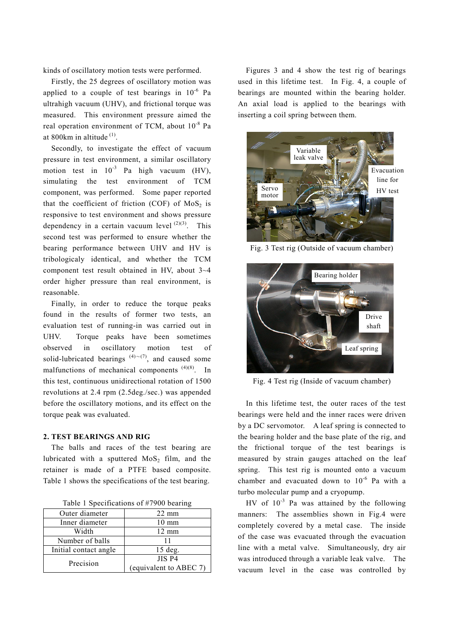kinds of oscillatory motion tests were performed.

 Firstly, the 25 degrees of oscillatory motion was applied to a couple of test bearings in  $10^{-6}$  Pa ultrahigh vacuum (UHV), and frictional torque was measured. This environment pressure aimed the real operation environment of TCM, about 10-8 Pa at 800 $km$  in altitude  $<sup>(1)</sup>$ .</sup>

 Secondly, to investigate the effect of vacuum pressure in test environment, a similar oscillatory motion test in  $10^{-3}$  Pa high vacuum (HV), simulating the test environment of TCM component, was performed. Some paper reported that the coefficient of friction (COF) of  $MoS<sub>2</sub>$  is responsive to test environment and shows pressure dependency in a certain vacuum level  $(2)(3)$ . This second test was performed to ensure whether the bearing performance between UHV and HV is tribologicaly identical, and whether the TCM component test result obtained in HV, about 3~4 order higher pressure than real environment, is reasonable.

 Finally, in order to reduce the torque peaks found in the results of former two tests, an evaluation test of running-in was carried out in UHV. Torque peaks have been sometimes observed in oscillatory motion test of solid-lubricated bearings  $(4) \sim (7)$ , and caused some malfunctions of mechanical components  $(4)(8)$ . In this test, continuous unidirectional rotation of 1500 revolutions at 2.4 rpm (2.5deg./sec.) was appended before the oscillatory motions, and its effect on the torque peak was evaluated.

#### **2. TEST BEARINGS AND RIG**

 The balls and races of the test bearing are lubricated with a sputtered  $MoS<sub>2</sub>$  film, and the retainer is made of a PTFE based composite. Table 1 shows the specifications of the test bearing.

|  |  | Table 1 Specifications of #7900 bearing |  |  |
|--|--|-----------------------------------------|--|--|
|--|--|-----------------------------------------|--|--|

| Outer diameter        | $22 \text{ mm}$        |
|-----------------------|------------------------|
| Inner diameter        | $10 \text{ mm}$        |
| Width                 | $12 \text{ mm}$        |
| Number of balls       |                        |
| Initial contact angle | $15$ deg.              |
| Precision             | JIS P4                 |
|                       | (equivalent to ABEC 7) |

 Figures 3 and 4 show the test rig of bearings used in this lifetime test. In Fig. 4, a couple of bearings are mounted within the bearing holder. An axial load is applied to the bearings with inserting a coil spring between them.



Fig. 3 Test rig (Outside of vacuum chamber)



Fig. 4 Test rig (Inside of vacuum chamber)

 In this lifetime test, the outer races of the test bearings were held and the inner races were driven by a DC servomotor. A leaf spring is connected to the bearing holder and the base plate of the rig, and the frictional torque of the test bearings is measured by strain gauges attached on the leaf spring. This test rig is mounted onto a vacuum chamber and evacuated down to 10<sup>-6</sup> Pa with a turbo molecular pump and a cryopump.

HV of  $10^{-3}$  Pa was attained by the following manners: The assemblies shown in Fig.4 were completely covered by a metal case. The inside of the case was evacuated through the evacuation line with a metal valve. Simultaneously, dry air was introduced through a variable leak valve. The vacuum level in the case was controlled by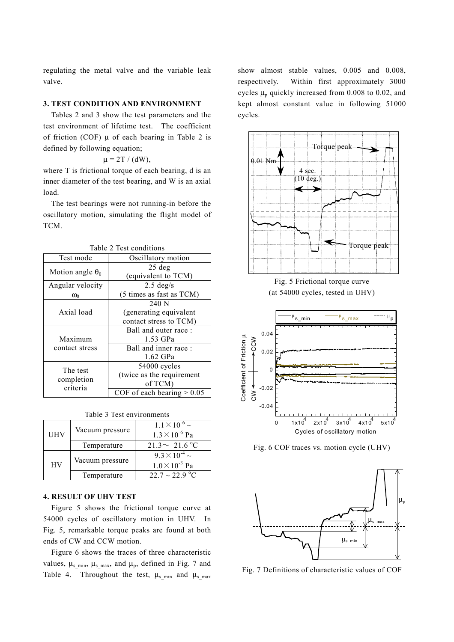regulating the metal valve and the variable leak valve.

#### **3. TEST CONDITION AND ENVIRONMENT**

 Tables 2 and 3 show the test parameters and the test environment of lifetime test. The coefficient of friction (COF)  $\mu$  of each bearing in Table 2 is defined by following equation;

$$
\mu = 2T / (dW),
$$

where T is frictional torque of each bearing, d is an inner diameter of the test bearing, and W is an axial load.

 The test bearings were not running-in before the oscillatory motion, simulating the flight model of TCM.

| Test mode               | Oscillatory motion              |  |  |
|-------------------------|---------------------------------|--|--|
| Motion angle $\theta_0$ | $25$ deg<br>(equivalent to TCM) |  |  |
| Angular velocity        | $2.5 \text{ deg/s}$             |  |  |
| $\omega_0$              | (5 times as fast as TCM)        |  |  |
|                         | 240 N                           |  |  |
| Axial load              | (generating equivalent          |  |  |
|                         | contact stress to TCM)          |  |  |
|                         | Ball and outer race:            |  |  |
| Maximum                 | 1.53 GPa                        |  |  |
| contact stress          | Ball and inner race:            |  |  |
|                         | 1.62 GPa                        |  |  |
| The test                | 54000 cycles                    |  |  |
|                         | (twice as the requirement       |  |  |
| completion<br>criteria  | of TCM)                         |  |  |
|                         | COF of each bearing $> 0.05$    |  |  |

Table 2 Test conditions

| <b>UHV</b> | Vacuum pressure | $1.1 \times 10^{-6}$ ~<br>$1.3 \times 10^{-6}$ Pa |
|------------|-----------------|---------------------------------------------------|
|            | Temperature     | $21.3 \sim 21.6 °C$                               |
| <b>HV</b>  | Vacuum pressure | $9.3 \times 10^{-4}$ ~<br>$1.0 \times 10^{-3}$ Pa |
|            | Temperature     | $22.7 \sim 22.9$ °C                               |

#### Table 3 Test environments

### **4. RESULT OF UHV TEST**

 Figure 5 shows the frictional torque curve at 54000 cycles of oscillatory motion in UHV. In Fig. 5, remarkable torque peaks are found at both ends of CW and CCW motion.

 Figure 6 shows the traces of three characteristic values,  $\mu_s$ <sub>min</sub>,  $\mu_s$ <sub>max</sub>, and  $\mu_p$ , defined in Fig. 7 and Table 4. Throughout the test,  $\mu_s$ <sub>min</sub> and  $\mu_s$ <sub>max</sub>

show almost stable values, 0.005 and 0.008, respectively. Within first approximately 3000 cycles  $\mu_p$  quickly increased from 0.008 to 0.02, and kept almost constant value in following 51000 cycles.







Fig. 6 COF traces vs. motion cycle (UHV)

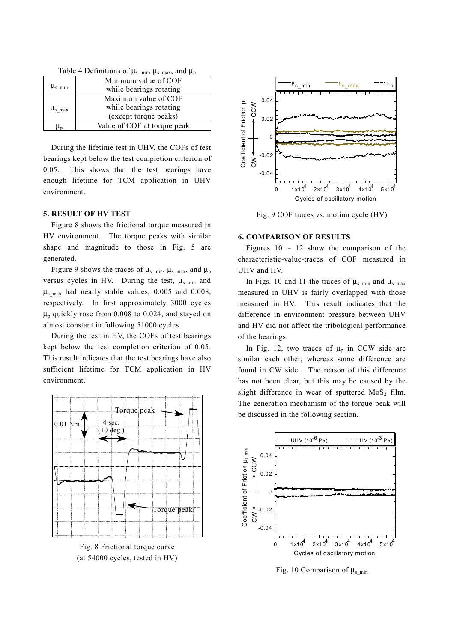| Table $\pm$ Definitions of $\mu_s$ min, $\mu_s$ max, and $\mu_p$ |                             |  |
|------------------------------------------------------------------|-----------------------------|--|
|                                                                  | Minimum value of COF        |  |
| $\mu_{\rm s,min}$                                                | while bearings rotating     |  |
|                                                                  | Maximum value of COF        |  |
| $\mu_{\rm s \, max}$                                             | while bearings rotating     |  |
|                                                                  | (except torque peaks)       |  |
| Աո                                                               | Value of COF at torque peak |  |

 $Table 4$  Definitions of  $\mu$   $\mu$  and  $\mu$ 

 During the lifetime test in UHV, the COFs of test bearings kept below the test completion criterion of 0.05. This shows that the test bearings have enough lifetime for TCM application in UHV environment.

#### **5. RESULT OF HV TEST**

 Figure 8 shows the frictional torque measured in HV environment. The torque peaks with similar shape and magnitude to those in Fig. 5 are generated.

Figure 9 shows the traces of  $\mu_s$ <sub>min</sub>,  $\mu_s$ <sub>max</sub>, and  $\mu_p$ versus cycles in HV. During the test,  $\mu_s$ <sub>min</sub> and  $\mu<sub>s</sub>$  max had nearly stable values, 0.005 and 0.008, respectively. In first approximately 3000 cycles  $\mu_p$  quickly rose from 0.008 to 0.024, and stayed on almost constant in following 51000 cycles.

 During the test in HV, the COFs of test bearings kept below the test completion criterion of 0.05. This result indicates that the test bearings have also sufficient lifetime for TCM application in HV environment.



Fig. 8 Frictional torque curve (at 54000 cycles, tested in HV)



Fig. 9 COF traces vs. motion cycle (HV)

#### **6. COMPARISON OF RESULTS**

Figures  $10 \sim 12$  show the comparison of the characteristic-value-traces of COF measured in UHV and HV.

In Figs. 10 and 11 the traces of  $\mu_s$ <sub>min</sub> and  $\mu_s$ <sub>max</sub> measured in UHV is fairly overlapped with those measured in HV. This result indicates that the difference in environment pressure between UHV and HV did not affect the tribological performance of the bearings.

In Fig. 12, two traces of  $\mu_p$  in CCW side are similar each other, whereas some difference are found in CW side. The reason of this difference has not been clear, but this may be caused by the slight difference in wear of sputtered  $MoS<sub>2</sub>$  film. The generation mechanism of the torque peak will be discussed in the following section.



Fig. 10 Comparison of  $\mu_s$ <sub>min</sub>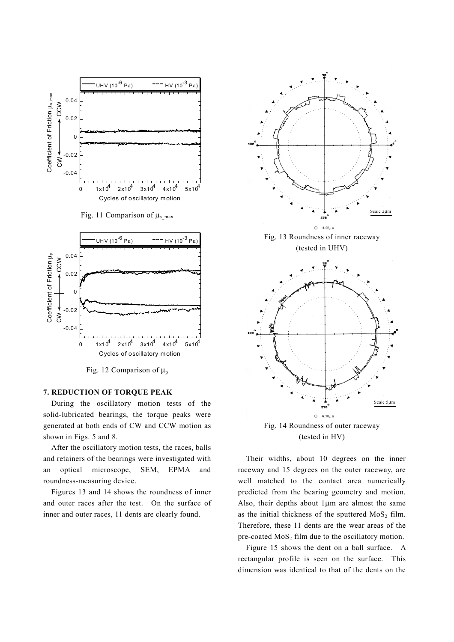

Fig. 11 Comparison of  $\mu$ <sub>s max</sub>



Fig. 12 Comparison of  $\mu_p$ 

#### **7. REDUCTION OF TORQUE PEAK**

 During the oscillatory motion tests of the solid-lubricated bearings, the torque peaks were generated at both ends of CW and CCW motion as shown in Figs. 5 and 8.

 After the oscillatory motion tests, the races, balls and retainers of the bearings were investigated with an optical microscope, SEM, EPMA and roundness-measuring device.

 Figures 13 and 14 shows the roundness of inner and outer races after the test. On the surface of inner and outer races, 11 dents are clearly found.



Fig. 14 Roundness of outer raceway (tested in HV)

278  $\circ$ 6.70  $\mu$  1 Scale 5µm

 Their widths, about 10 degrees on the inner raceway and 15 degrees on the outer raceway, are well matched to the contact area numerically predicted from the bearing geometry and motion. Also, their depths about 1µm are almost the same as the initial thickness of the sputtered  $MoS<sub>2</sub>$  film. Therefore, these 11 dents are the wear areas of the pre-coated  $MoS<sub>2</sub>$  film due to the oscillatory motion.

 Figure 15 shows the dent on a ball surface. A rectangular profile is seen on the surface. This dimension was identical to that of the dents on the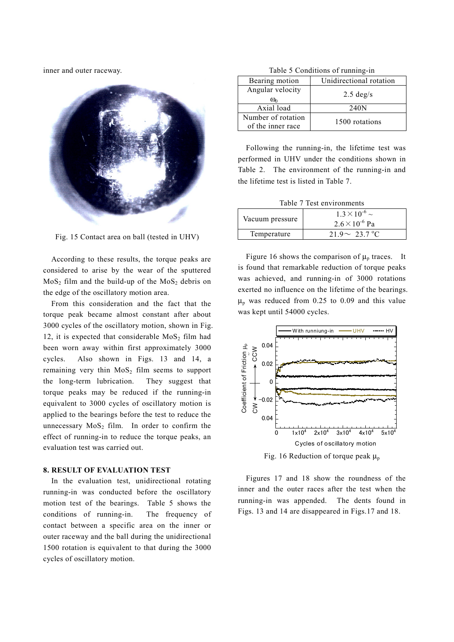inner and outer raceway.



Fig. 15 Contact area on ball (tested in UHV)

 According to these results, the torque peaks are considered to arise by the wear of the sputtered  $MoS<sub>2</sub>$  film and the build-up of the MoS<sub>2</sub> debris on the edge of the oscillatory motion area.

 From this consideration and the fact that the torque peak became almost constant after about 3000 cycles of the oscillatory motion, shown in Fig. 12, it is expected that considerable  $MoS<sub>2</sub>$  film had been worn away within first approximately 3000 cycles. Also shown in Figs. 13 and 14, a remaining very thin  $MoS<sub>2</sub>$  film seems to support the long-term lubrication. They suggest that torque peaks may be reduced if the running-in equivalent to 3000 cycles of oscillatory motion is applied to the bearings before the test to reduce the unnecessary  $MoS<sub>2</sub>$  film. In order to confirm the effect of running-in to reduce the torque peaks, an evaluation test was carried out.

## **8. RESULT OF EVALUATION TEST**

In the evaluation test, unidirectional rotating running-in was conducted before the oscillatory motion test of the bearings. Table 5 shows the conditions of running-in. The frequency of contact between a specific area on the inner or outer raceway and the ball during the unidirectional 1500 rotation is equivalent to that during the 3000 cycles of oscillatory motion.

|  | Table 5 Conditions of running-in |  |
|--|----------------------------------|--|
|  |                                  |  |

| Bearing motion     | Unidirectional rotation |  |
|--------------------|-------------------------|--|
| Angular velocity   | $2.5 \text{ deg/s}$     |  |
| $\omega_0$         |                         |  |
| Axial load         | 240 <sub>N</sub>        |  |
| Number of rotation | 1500 rotations          |  |
| of the inner race  |                         |  |

 Following the running-in, the lifetime test was performed in UHV under the conditions shown in Table 2. The environment of the running-in and the lifetime test is listed in Table 7.

|  | Table 7 Test environments |
|--|---------------------------|
|  |                           |

| Vacuum pressure | $1.3 \times 10^{-6}$ ~<br>$2.6 \times 10^{-6}$ Pa |
|-----------------|---------------------------------------------------|
| Temperature     | $21.9 \sim 23.7 °C$                               |

Figure 16 shows the comparison of  $\mu_p$  traces. It is found that remarkable reduction of torque peaks was achieved, and running-in of 3000 rotations exerted no influence on the lifetime of the bearings.  $\mu_p$  was reduced from 0.25 to 0.09 and this value was kept until 54000 cycles.



Fig. 16 Reduction of torque peak  $\mu_p$ 

 Figures 17 and 18 show the roundness of the inner and the outer races after the test when the running-in was appended. The dents found in